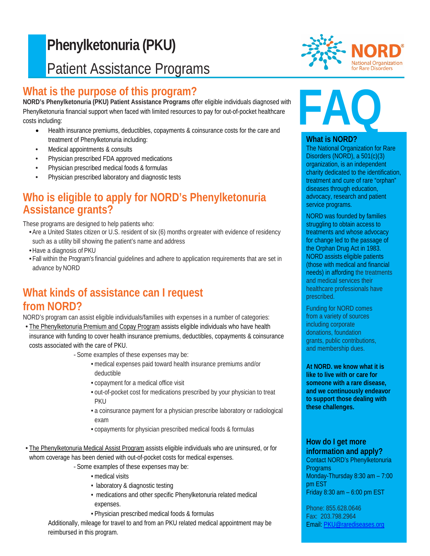# F **Phenylketonuria (PKU)** Patient Assistance Programs

#### j **What is the purpose of this program?**

**NORD's Phenylketonuria (PKU) Patient Assistance Programs** offer eligible individuals diagnosed with Phenylketonuria financial support when faced with limited resources to pay for out-of-pocket healthcare costs including:

- Health insurance premiums, deductibles, copayments & coinsurance costs for the care and treatment of Phenylketonuria including:
- Medical appointments & consults
- Physician prescribed FDA approved medications
- Physician prescribed medical foods & formulas
- Physician prescribed laboratory and diagnostic tests

# **Who is eligible to apply for NORD's Phenylketonuria Assistance grants?**

These programs are designed to help patients who:

- •Are a United States citizen or U.S. resident of six (6) months orgreater with evidence of residency such as a utility bill showing the patient's name and address
- •Have a diagnosis of PKU
- •Fall within the Program's financial guidelines and adhere to application requirements that are set in advance by NORD

# **What kinds of assistance can I request from NORD?**

NORD's program can assist eligible individuals/families with expenses in a number of categories:

- The Phenylketonuria Premium and Copay Program assists eligible individuals who have health insurance with funding to cover health insurance premiums, deductibles, copayments & coinsurance costs associated with the care of PKU.
	- *-* Some examples of these expenses may be:
		- medical expenses paid toward health insurance premiums and/or deductible
		- copayment for a medical office visit
		- out-of-pocket cost for medications prescribed by your physician to treat PKU
		- a coinsurance payment for a physician prescribe laboratory or radiological exam
		- copayments for physician prescribed medical foods & formulas
- The Phenylketonuria Medical Assist Program assists eligible individuals who are uninsured, or for whom coverage has been denied with out-of-pocket costs for medical expenses.
	- *-* Some examples of these expenses may be:
		- medical visits
		- laboratory & diagnostic testing
		- medications and other specific Phenylketonuria related medical expenses.
		- Physician prescribed medical foods & formulas

Additionally, mileage for travel to and from an PKU related medical appointment may be reimbursed in this program.



# **FAQ**

#### **What is NORD?**

The National Organization for Rare Disorders (NORD), a 501(c)(3) organization, is an independent charity dedicated to the identification, treatment and cure of rare "orphan" diseases through education, advocacy, research and patient service programs.

NORD was founded by families struggling to obtain access to treatments and whose advocacy for change led to the passage of the Orphan Drug Act in 1983. NORD assists eligible patients (those with medical and financial needs) in affording the treatments and medical services their healthcare professionals have prescribed.

Funding for NORD comes from a variety of sources including corporate donations, foundation grants, public contributions, and membership dues.

**At NORD. we know what it is like to live with or care for someone with a rare disease, and we continuously endeavor to support those dealing with these challenges.**

#### **How do I get more information and apply?**

Contact NORD's Phenylketonuria Programs Monday-Thursday 8:30 am – 7:00 pm EST Friday 8:30 am – 6:00 pm EST

Phone: 855.628.0646 Fax: 203.798.2964 Email: [PKU@rarediseases.org](mailto:PKU@rarediseases.org)